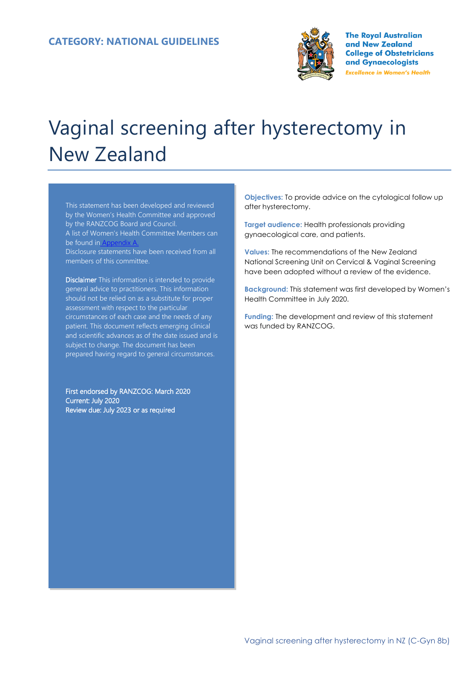

**The Royal Australian** and New Zealand **College of Obstetricians** and Gynaecologists **Excellence in Women's Health** 

# Vaginal screening after hysterectomy in New Zealand

This statement has been developed and reviewed by the Women's Health Committee and approved by the RANZCOG Board and Council. A list of Women's Health Committee Members can be found in Disclosure statements have been received from all members of this committee.

Disclaimer This information is intended to provide general advice to practitioners. This information should not be relied on as a substitute for proper assessment with respect to the particular circumstances of each case and the needs of any patient. This document reflects emerging clinical and scientific advances as of the date issued and is subject to change. The document has been prepared having regard to general circumstances.

First endorsed by RANZCOG: March 2020 Current: July 2020 Review due: July 2023 or as required

**Objectives:** To provide advice on the cytological follow up after hysterectomy.

**Target audience:** Health professionals providing gynaecological care, and patients.

**Values:** The recommendations of the New Zealand National Screening Unit on Cervical & Vaginal Screening have been adopted without a review of the evidence.

**Background:** This statement was first developed by Women's Health Committee in July 2020.

**Funding:** The development and review of this statement was funded by RANZCOG.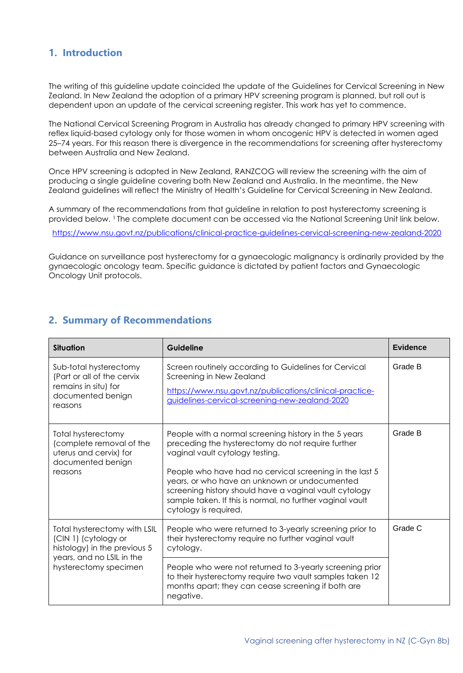#### **1. Introduction**

The writing of this guideline update coincided the update of the Guidelines for Cervical Screening in New Zealand. In New Zealand the adoption of a primary HPV screening program is planned, but roll out is dependent upon an update of the cervical screening register. This work has yet to commence.

The National Cervical Screening Program in Australia has already changed to primary HPV screening with reflex liquid-based cytology only for those women in whom oncogenic HPV is detected in women aged 25–74 years. For this reason there is divergence in the recommendations for screening after hysterectomy between Australia and New Zealand.

Once HPV screening is adopted in New Zealand, RANZCOG will review the screening with the aim of producing a single guideline covering both New Zealand and Australia. In the meantime, the New Zealand guidelines will reflect the Ministry of Health's Guideline for Cervical Screening in New Zealand.

A summary of the recommendations from that guideline in relation to post hysterectomy screening is provided below. <sup>1</sup> The complete document can be accessed via the National Screening Unit link below.

<https://www.nsu.govt.nz/publications/clinical-practice-guidelines-cervical-screening-new-zealand-2020>

Guidance on surveillance post hysterectomy for a gynaecologic malignancy is ordinarily provided by the gynaecologic oncology team. Specific guidance is dictated by patient factors and Gynaecologic Oncology Unit protocols.

|  |  |  | 2. Summary of Recommendations |
|--|--|--|-------------------------------|
|--|--|--|-------------------------------|

| <b>Situation</b>                                                                                                  | Guideline                                                                                                                                                                                                                                                                                                                                                                                                 | <b>Evidence</b> |
|-------------------------------------------------------------------------------------------------------------------|-----------------------------------------------------------------------------------------------------------------------------------------------------------------------------------------------------------------------------------------------------------------------------------------------------------------------------------------------------------------------------------------------------------|-----------------|
| Sub-total hysterectomy<br>(Part or all of the cervix<br>remains in situ) for<br>documented benign<br>reasons      | Screen routinely according to Guidelines for Cervical<br>Screening in New Zealand<br>https://www.nsu.govt.nz/publications/clinical-practice-<br>guidelines-cervical-screening-new-zealand-2020                                                                                                                                                                                                            | Grade B         |
| <b>Total hysterectomy</b><br>(complete removal of the<br>uterus and cervix) for<br>documented benign<br>reasons   | People with a normal screening history in the 5 years<br>preceding the hysterectomy do not require further<br>vaginal vault cytology testing.<br>People who have had no cervical screening in the last 5<br>years, or who have an unknown or undocumented<br>screening history should have a vaginal vault cytology<br>sample taken. If this is normal, no further vaginal vault<br>cytology is required. | Grade B         |
| Total hysterectomy with LSIL<br>(CIN 1) (cytology or<br>histology) in the previous 5<br>years, and no LSIL in the | People who were returned to 3-yearly screening prior to<br>their hysterectomy require no further vaginal vault<br>cytology.                                                                                                                                                                                                                                                                               | Grade C         |
| hysterectomy specimen                                                                                             | People who were not returned to 3-yearly screening prior<br>to their hysterectomy require two vault samples taken 12<br>months apart; they can cease screening if both are<br>negative.                                                                                                                                                                                                                   |                 |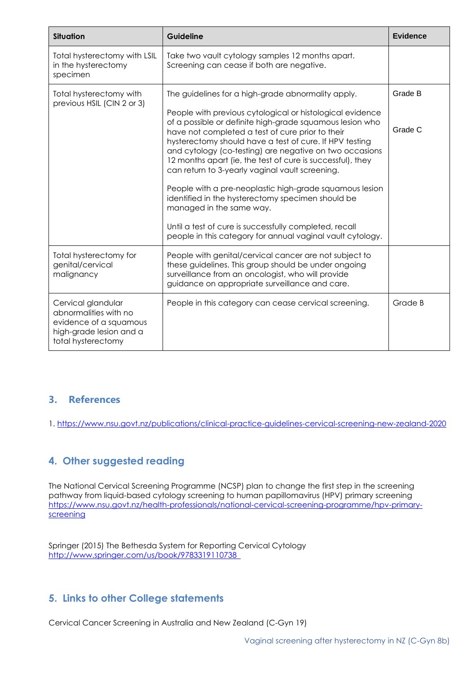| <b>Situation</b>                                                                                                       | Guideline                                                                                                                                                                                                                                                                                                                                                                                                                                                                                                                                                                                                                                                                                                                                  | <b>Evidence</b>    |
|------------------------------------------------------------------------------------------------------------------------|--------------------------------------------------------------------------------------------------------------------------------------------------------------------------------------------------------------------------------------------------------------------------------------------------------------------------------------------------------------------------------------------------------------------------------------------------------------------------------------------------------------------------------------------------------------------------------------------------------------------------------------------------------------------------------------------------------------------------------------------|--------------------|
| Total hysterectomy with LSIL<br>in the hysterectomy<br>specimen                                                        | Take two vault cytology samples 12 months apart.<br>Screening can cease if both are negative.                                                                                                                                                                                                                                                                                                                                                                                                                                                                                                                                                                                                                                              |                    |
| Total hysterectomy with<br>previous HSIL (CIN 2 or 3)                                                                  | The guidelines for a high-grade abnormality apply.<br>People with previous cytological or histological evidence<br>of a possible or definite high-grade squamous lesion who<br>have not completed a test of cure prior to their<br>hysterectomy should have a test of cure. If HPV testing<br>and cytology (co-testing) are negative on two occasions<br>12 months apart (ie, the test of cure is successful), they<br>can return to 3-yearly vaginal vault screening.<br>People with a pre-neoplastic high-grade squamous lesion<br>identified in the hysterectomy specimen should be<br>managed in the same way.<br>Until a test of cure is successfully completed, recall<br>people in this category for annual vaginal vault cytology. | Grade B<br>Grade C |
| Total hysterectomy for<br>genital/cervical<br>malignancy                                                               | People with genital/cervical cancer are not subject to<br>these guidelines. This group should be under ongoing<br>surveillance from an oncologist, who will provide<br>guidance on appropriate surveillance and care.                                                                                                                                                                                                                                                                                                                                                                                                                                                                                                                      |                    |
| Cervical glandular<br>abnormalities with no<br>evidence of a squamous<br>high-grade lesion and a<br>total hysterectomy | People in this category can cease cervical screening.                                                                                                                                                                                                                                                                                                                                                                                                                                                                                                                                                                                                                                                                                      | Grade B            |

## **3. References**

1.<https://www.nsu.govt.nz/publications/clinical-practice-guidelines-cervical-screening-new-zealand-2020>

## **4. Other suggested reading**

The National Cervical Screening Programme (NCSP) plan to change the first step in the screening pathway from liquid-based cytology screening to human papillomavirus (HPV) primary screening [https://www.nsu.govt.nz/health-professionals/national-cervical-screening-programme/hpv-primary](https://www.nsu.govt.nz/health-professionals/national-cervical-screening-programme/hpv-primary-screening)[screening](https://www.nsu.govt.nz/health-professionals/national-cervical-screening-programme/hpv-primary-screening)

Springer (2015) The Bethesda System for Reporting Cervical Cytology http://www.springer.com/us/book/9783319110738

#### **5. Links to other College statements**

Cervical Cancer Screening in Australia and New Zealand (C-Gyn 19)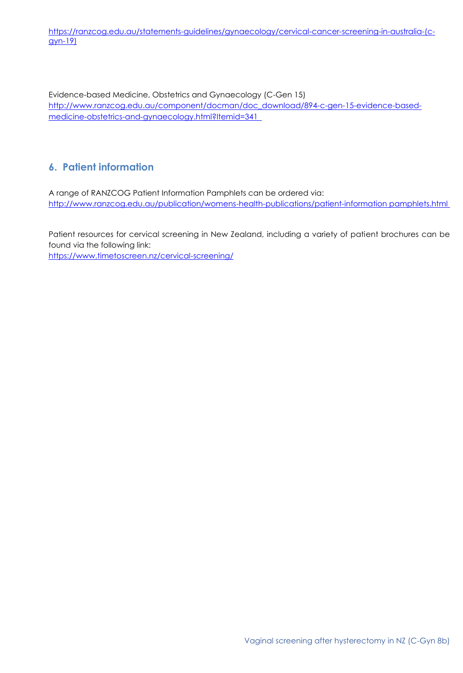[https://ranzcog.edu.au/statements-guidelines/gynaecology/cervical-cancer-screening-in-australia-\(c](https://ranzcog.edu.au/statements-guidelines/gynaecology/cervical-cancer-screening-in-australia-(c-gyn-19))[gyn-19\)](https://ranzcog.edu.au/statements-guidelines/gynaecology/cervical-cancer-screening-in-australia-(c-gyn-19))

Evidence-based Medicine, Obstetrics and Gynaecology (C-Gen 15) http://www.ranzcog.edu.au/component/docman/doc\_download/894-c-gen-15-evidence-basedmedicine-obstetrics-and-gynaecology.html?Itemid=341

# **6. Patient information**

A range of RANZCOG Patient Information Pamphlets can be ordered via: http://www.ranzcog.edu.au/publication/womens-health-publications/patient-information pamphlets.html

Patient resources for cervical screening in New Zealand, including a variety of patient brochures can be found via the following link: <https://www.timetoscreen.nz/cervical-screening/>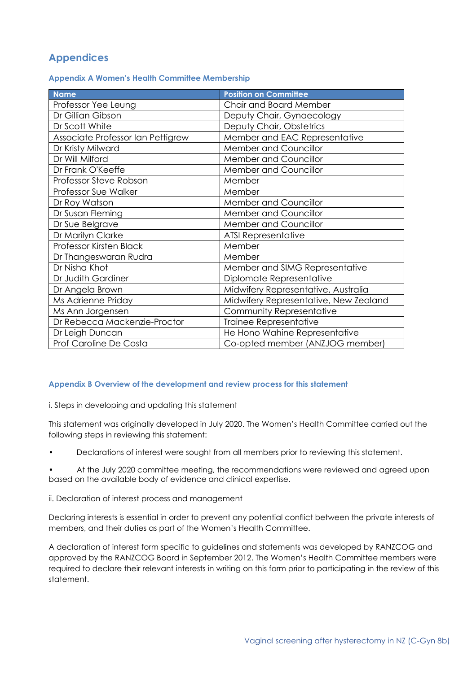## **Appendices**

|  |  |  |  | <b>Appendix A Women's Health Committee Membership</b> |
|--|--|--|--|-------------------------------------------------------|
|--|--|--|--|-------------------------------------------------------|

| <b>Name</b>                       | <b>Position on Committee</b>          |
|-----------------------------------|---------------------------------------|
| Professor Yee Leung               | Chair and Board Member                |
| Dr Gillian Gibson                 | Deputy Chair, Gynaecology             |
| Dr Scott White                    | Deputy Chair, Obstetrics              |
| Associate Professor Ian Pettigrew | Member and EAC Representative         |
| Dr Kristy Milward                 | Member and Councillor                 |
| Dr Will Milford                   | Member and Councillor                 |
| Dr Frank O'Keeffe                 | Member and Councillor                 |
| Professor Steve Robson            | Member                                |
| Professor Sue Walker              | Member                                |
| Dr Roy Watson                     | Member and Councillor                 |
| Dr Susan Fleming                  | Member and Councillor                 |
| Dr Sue Belgrave                   | Member and Councillor                 |
| Dr Marilyn Clarke                 | <b>ATSI Representative</b>            |
| Professor Kirsten Black           | Member                                |
| Dr Thangeswaran Rudra             | Member                                |
| Dr Nisha Khot                     | Member and SIMG Representative        |
| Dr Judith Gardiner                | Diplomate Representative              |
| Dr Angela Brown                   | Midwifery Representative, Australia   |
| Ms Adrienne Priday                | Midwifery Representative, New Zealand |
| Ms Ann Jorgensen                  | Community Representative              |
| Dr Rebecca Mackenzie-Proctor      | Trainee Representative                |
| Dr Leigh Duncan                   | He Hono Wahine Representative         |
| Prof Caroline De Costa            | Co-opted member (ANZJOG member)       |

#### **Appendix B Overview of the development and review process for this statement**

i. Steps in developing and updating this statement

This statement was originally developed in July 2020. The Women's Health Committee carried out the following steps in reviewing this statement:

• Declarations of interest were sought from all members prior to reviewing this statement.

• At the July 2020 committee meeting, the recommendations were reviewed and agreed upon based on the available body of evidence and clinical expertise.

ii. Declaration of interest process and management

Declaring interests is essential in order to prevent any potential conflict between the private interests of members, and their duties as part of the Women's Health Committee.

A declaration of interest form specific to guidelines and statements was developed by RANZCOG and approved by the RANZCOG Board in September 2012. The Women's Health Committee members were required to declare their relevant interests in writing on this form prior to participating in the review of this statement.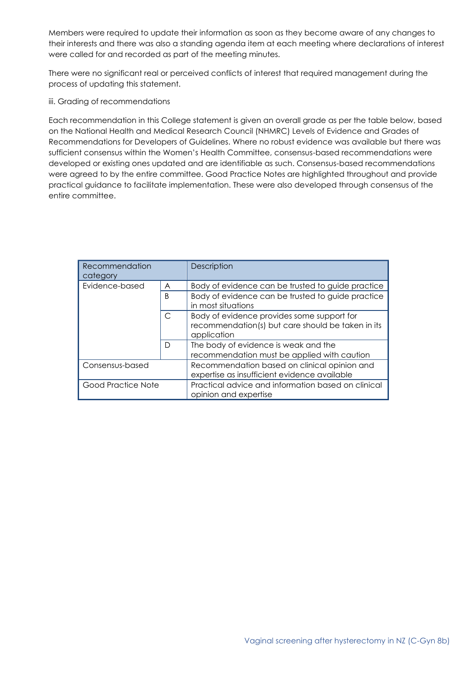Members were required to update their information as soon as they become aware of any changes to their interests and there was also a standing agenda item at each meeting where declarations of interest were called for and recorded as part of the meeting minutes.

There were no significant real or perceived conflicts of interest that required management during the process of updating this statement.

iii. Grading of recommendations

Each recommendation in this College statement is given an overall grade as per the table below, based on the National Health and Medical Research Council (NHMRC) Levels of Evidence and Grades of Recommendations for Developers of Guidelines. Where no robust evidence was available but there was sufficient consensus within the Women's Health Committee, consensus-based recommendations were developed or existing ones updated and are identifiable as such. Consensus-based recommendations were agreed to by the entire committee. Good Practice Notes are highlighted throughout and provide practical guidance to facilitate implementation. These were also developed through consensus of the entire committee.

| Recommendation<br>category |   | Description                                                                                                    |
|----------------------------|---|----------------------------------------------------------------------------------------------------------------|
| Evidence-based<br>A        |   | Body of evidence can be trusted to guide practice                                                              |
|                            | B | Body of evidence can be trusted to guide practice<br>in most situations                                        |
| C                          |   | Body of evidence provides some support for<br>recommendation(s) but care should be taken in its<br>application |
|                            | D | The body of evidence is weak and the<br>recommendation must be applied with caution                            |
| Consensus-based            |   | Recommendation based on clinical opinion and<br>expertise as insufficient evidence available                   |
| Good Practice Note         |   | Practical advice and information based on clinical<br>opinion and expertise                                    |